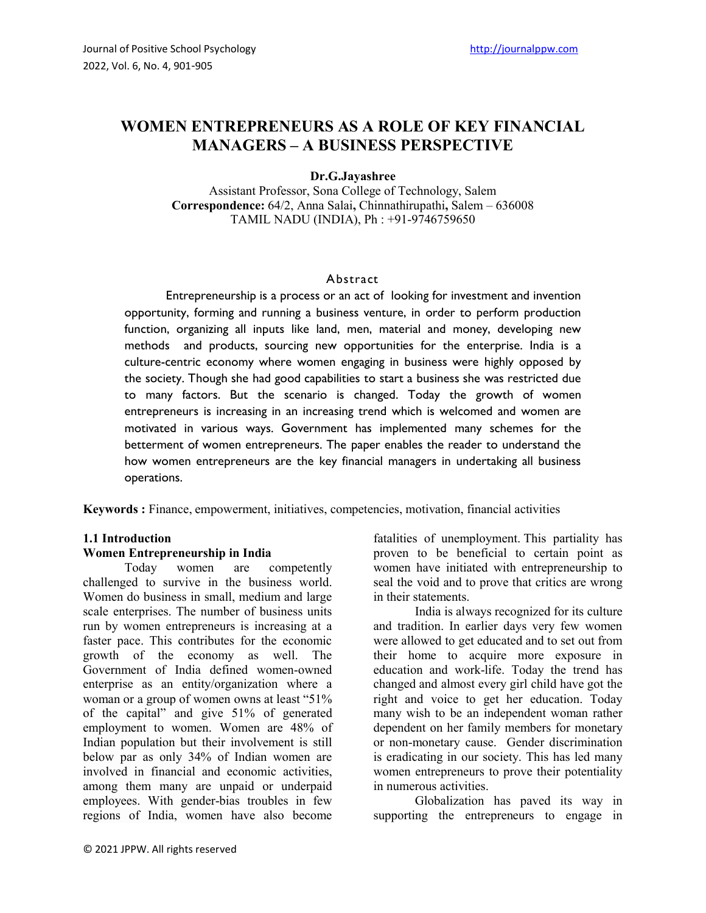# **WOMEN ENTREPRENEURS AS A ROLE OF KEY FINANCIAL MANAGERS – A BUSINESS PERSPECTIVE**

### **Dr.G.Jayashree**

Assistant Professor, Sona College of Technology, Salem **Correspondence:** 64/2, Anna Salai**,** Chinnathirupathi**,** Salem – 636008 TAMIL NADU (INDIA), Ph : +91-9746759650

### Abstract

Entrepreneurship is a process or an act of looking for investment and invention opportunity, forming and running a business venture, in order to perform production function, organizing all inputs like land, men, material and money, developing new methods and products, sourcing new opportunities for the enterprise. India is a culture-centric economy where women engaging in business were highly opposed by the society. Though she had good capabilities to start a business she was restricted due to many factors. But the scenario is changed. Today the growth of women entrepreneurs is increasing in an increasing trend which is welcomed and women are motivated in various ways. Government has implemented many schemes for the betterment of women entrepreneurs. The paper enables the reader to understand the how women entrepreneurs are the key financial managers in undertaking all business operations.

**Keywords :** Finance, empowerment, initiatives, competencies, motivation, financial activities

### **1.1 Introduction**

#### **Women Entrepreneurship in India**

Today women are competently challenged to survive in the business world. Women do business in small, medium and large scale enterprises. The number of business units run by women entrepreneurs is increasing at a faster pace. This contributes for the economic growth of the economy as well. The Government of India defined women-owned enterprise as an entity/organization where a woman or a group of women owns at least "51% of the capital" and give 51% of generated employment to women. Women are 48% of Indian population but their involvement is still below par as only 34% of Indian women are involved in financial and economic activities, among them many are unpaid or underpaid employees. With gender-bias troubles in few regions of India, women have also become fatalities of unemployment. This partiality has proven to be beneficial to certain point as women have initiated with entrepreneurship to seal the void and to prove that critics are wrong in their statements.

India is always recognized for its culture and tradition. In earlier days very few women were allowed to get educated and to set out from their home to acquire more exposure in education and work-life. Today the trend has changed and almost every girl child have got the right and voice to get her education. Today many wish to be an independent woman rather dependent on her family members for monetary or non-monetary cause. Gender discrimination is eradicating in our society. This has led many women entrepreneurs to prove their potentiality in numerous activities.

Globalization has paved its way in supporting the entrepreneurs to engage in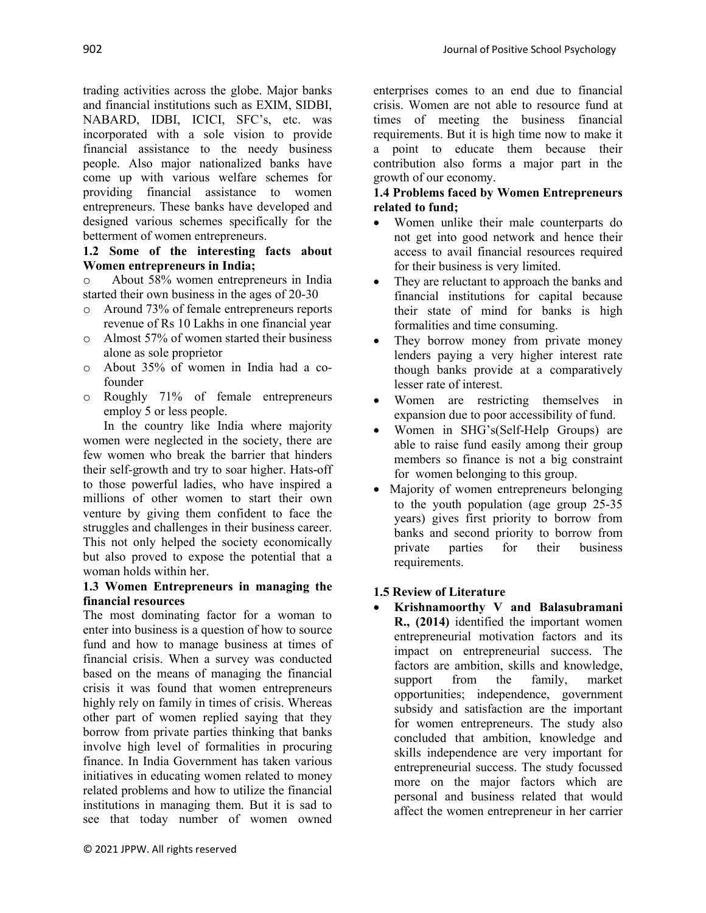trading activities across the globe. Major banks and financial institutions such as EXIM, SIDBI, NABARD, IDBI, ICICI, SFC's, etc. was incorporated with a sole vision to provide financial assistance to the needy business people. Also major nationalized banks have come up with various welfare schemes for providing financial assistance to women entrepreneurs. These banks have developed and designed various schemes specifically for the betterment of women entrepreneurs.

## **1.2 Some of the interesting facts about Women entrepreneurs in India;**

o About 58% women entrepreneurs in India started their own business in the ages of 20-30

- o Around 73% of female entrepreneurs reports revenue of Rs 10 Lakhs in one financial year
- o Almost 57% of women started their business alone as sole proprietor
- o About 35% of women in India had a cofounder
- o Roughly 71% of female entrepreneurs employ 5 or less people.

In the country like India where majority women were neglected in the society, there are few women who break the barrier that hinders their self-growth and try to soar higher. Hats-off to those powerful ladies, who have inspired a millions of other women to start their own venture by giving them confident to face the struggles and challenges in their business career. This not only helped the society economically but also proved to expose the potential that a woman holds within her.

### **1.3 Women Entrepreneurs in managing the financial resources**

The most dominating factor for a woman to enter into business is a question of how to source fund and how to manage business at times of financial crisis. When a survey was conducted based on the means of managing the financial crisis it was found that women entrepreneurs highly rely on family in times of crisis. Whereas other part of women replied saying that they borrow from private parties thinking that banks involve high level of formalities in procuring finance. In India Government has taken various initiatives in educating women related to money related problems and how to utilize the financial institutions in managing them. But it is sad to see that today number of women owned

enterprises comes to an end due to financial crisis. Women are not able to resource fund at times of meeting the business financial requirements. But it is high time now to make it a point to educate them because their contribution also forms a major part in the growth of our economy.

### **1.4 Problems faced by Women Entrepreneurs related to fund;**

- Women unlike their male counterparts do not get into good network and hence their access to avail financial resources required for their business is very limited.
- They are reluctant to approach the banks and financial institutions for capital because their state of mind for banks is high formalities and time consuming.
- They borrow money from private money lenders paying a very higher interest rate though banks provide at a comparatively lesser rate of interest.
- Women are restricting themselves in expansion due to poor accessibility of fund.
- Women in SHG's(Self-Help Groups) are able to raise fund easily among their group members so finance is not a big constraint for women belonging to this group.
- Majority of women entrepreneurs belonging to the youth population (age group 25-35 years) gives first priority to borrow from banks and second priority to borrow from private parties for their business requirements.

## **1.5 Review of Literature**

∑ **Krishnamoorthy V and Balasubramani R., (2014)** identified the important women entrepreneurial motivation factors and its impact on entrepreneurial success. The factors are ambition, skills and knowledge, support from the family, market opportunities; independence, government subsidy and satisfaction are the important for women entrepreneurs. The study also concluded that ambition, knowledge and skills independence are very important for entrepreneurial success. The study focussed more on the major factors which are personal and business related that would affect the women entrepreneur in her carrier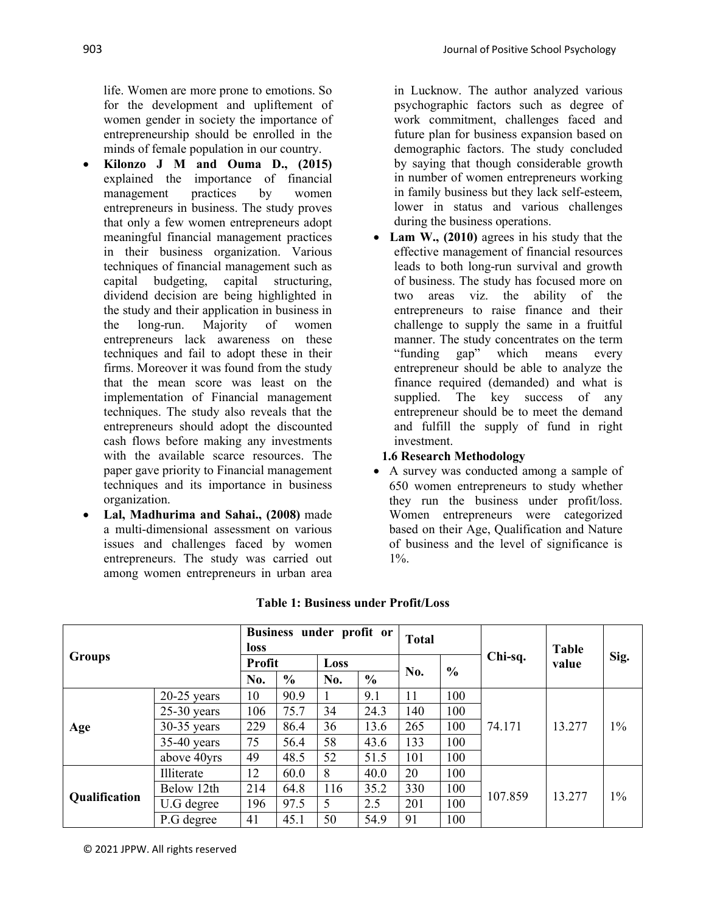life. Women are more prone to emotions. So for the development and upliftement of women gender in society the importance of entrepreneurship should be enrolled in the minds of female population in our country.

- ∑ **Kilonzo J M and Ouma D., (2015)** explained the importance of financial management practices by women entrepreneurs in business. The study proves that only a few women entrepreneurs adopt meaningful financial management practices in their business organization. Various techniques of financial management such as capital budgeting, capital structuring, dividend decision are being highlighted in the study and their application in business in the long-run. Majority of women entrepreneurs lack awareness on these techniques and fail to adopt these in their firms. Moreover it was found from the study that the mean score was least on the implementation of Financial management techniques. The study also reveals that the entrepreneurs should adopt the discounted cash flows before making any investments with the available scarce resources. The paper gave priority to Financial management techniques and its importance in business organization.
- ∑ **Lal, Madhurima and Sahai., (2008)** made a multi-dimensional assessment on various issues and challenges faced by women entrepreneurs. The study was carried out among women entrepreneurs in urban area

in Lucknow. The author analyzed various psychographic factors such as degree of work commitment, challenges faced and future plan for business expansion based on demographic factors. The study concluded by saying that though considerable growth in number of women entrepreneurs working in family business but they lack self-esteem, lower in status and various challenges during the business operations.

∑ **Lam W., (2010)** agrees in his study that the effective management of financial resources leads to both long-run survival and growth of business. The study has focused more on two areas viz. the ability of the entrepreneurs to raise finance and their challenge to supply the same in a fruitful manner. The study concentrates on the term "funding gap" which means every entrepreneur should be able to analyze the finance required (demanded) and what is supplied. The key success of any entrepreneur should be to meet the demand and fulfill the supply of fund in right investment.

### **1.6 Research Methodology**

● A survey was conducted among a sample of 650 women entrepreneurs to study whether they run the business under profit/loss. Women entrepreneurs were categorized based on their Age, Qualification and Nature of business and the level of significance is 1%.

| <b>Groups</b> |               | Business under profit or<br><b>loss</b> |               |      |               | <b>Total</b> |               |         | <b>Table</b> |       |
|---------------|---------------|-----------------------------------------|---------------|------|---------------|--------------|---------------|---------|--------------|-------|
|               |               | Profit                                  |               | Loss |               | No.          | $\frac{0}{0}$ | Chi-sq. | value        | Sig.  |
|               |               | No.                                     | $\frac{0}{0}$ | No.  | $\frac{6}{6}$ |              |               |         |              |       |
| Age           | $20-25$ years | 10                                      | 90.9          |      | 9.1           | 11           | 100           | 74.171  | 13.277       | $1\%$ |
|               | $25-30$ years | 106                                     | 75.7          | 34   | 24.3          | 140          | 100           |         |              |       |
|               | $30-35$ years | 229                                     | 86.4          | 36   | 13.6          | 265          | 100           |         |              |       |
|               | $35-40$ years | 75                                      | 56.4          | 58   | 43.6          | 133          | 100           |         |              |       |
|               | above 40yrs   | 49                                      | 48.5          | 52   | 51.5          | 101          | 100           |         |              |       |
| Qualification | Illiterate    | 12                                      | 60.0          | 8    | 40.0          | 20           | 100           | 107.859 | 13.277       | $1\%$ |
|               | Below 12th    | 214                                     | 64.8          | 116  | 35.2          | 330          | 100           |         |              |       |
|               | U.G degree    | 196                                     | 97.5          | 5    | 2.5           | 201          | 100           |         |              |       |
|               | P.G degree    | 41                                      | 45.1          | 50   | 54.9          | 91           | 100           |         |              |       |

## **Table 1: Business under Profit/Loss**

© 2021 JPPW. All rights reserved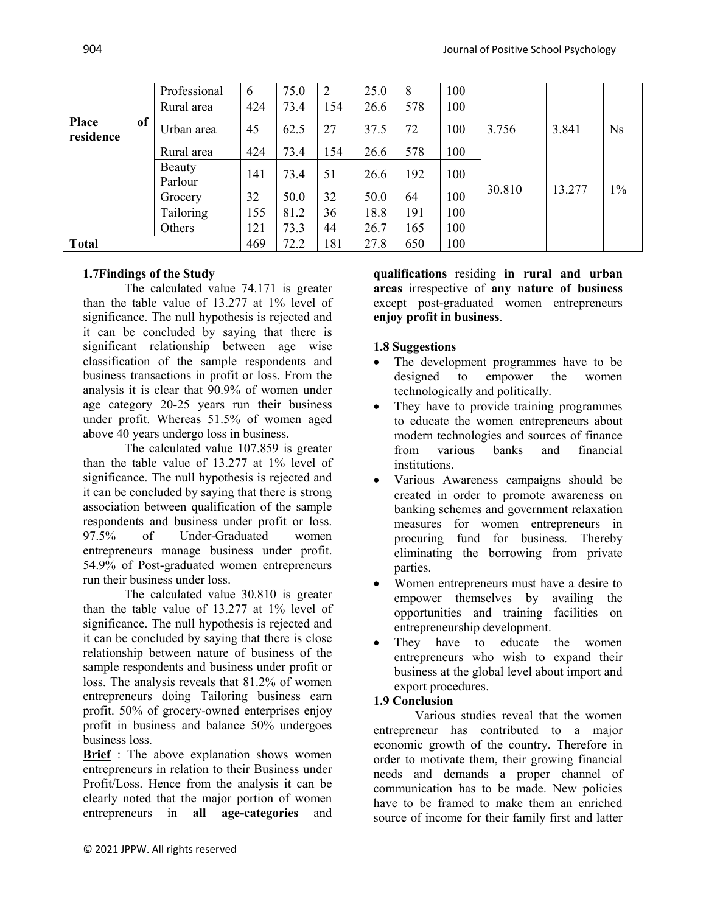|                           |                   | Professional | 6    | 75.0 | 2    | 25.0 | 8   | 100 |        |        |           |
|---------------------------|-------------------|--------------|------|------|------|------|-----|-----|--------|--------|-----------|
|                           |                   | Rural area   | 424  | 73.4 | 154  | 26.6 | 578 | 100 |        |        |           |
| <b>Place</b><br>residence | of                | Urban area   | 45   | 62.5 | 27   | 37.5 | 72  | 100 | 3.756  | 3.841  | <b>Ns</b> |
|                           |                   | Rural area   | 424  | 73.4 | 154  | 26.6 | 578 | 100 |        |        |           |
|                           | Beauty<br>Parlour | 141          | 73.4 | 51   | 26.6 | 192  | 100 |     |        | $1\%$  |           |
|                           |                   | Grocery      | 32   | 50.0 | 32   | 50.0 | 64  | 100 | 30.810 | 13.277 |           |
|                           |                   | Tailoring    | 155  | 81.2 | 36   | 18.8 | 191 | 100 |        |        |           |
|                           |                   | Others       | 121  | 73.3 | 44   | 26.7 | 165 | 100 |        |        |           |
| <b>Total</b>              |                   |              | 469  | 72.2 | 181  | 27.8 | 650 | 100 |        |        |           |

## **1.7Findings of the Study**

The calculated value 74.171 is greater than the table value of 13.277 at 1% level of significance. The null hypothesis is rejected and it can be concluded by saying that there is significant relationship between age wise classification of the sample respondents and business transactions in profit or loss. From the analysis it is clear that 90.9% of women under age category 20-25 years run their business under profit. Whereas 51.5% of women aged above 40 years undergo loss in business.

The calculated value 107.859 is greater than the table value of 13.277 at 1% level of significance. The null hypothesis is rejected and it can be concluded by saying that there is strong association between qualification of the sample respondents and business under profit or loss. 97.5% of Under-Graduated women entrepreneurs manage business under profit. 54.9% of Post-graduated women entrepreneurs run their business under loss.

The calculated value 30.810 is greater than the table value of 13.277 at 1% level of significance. The null hypothesis is rejected and it can be concluded by saying that there is close relationship between nature of business of the sample respondents and business under profit or loss. The analysis reveals that 81.2% of women entrepreneurs doing Tailoring business earn profit. 50% of grocery-owned enterprises enjoy profit in business and balance 50% undergoes business loss.

**Brief** : The above explanation shows women entrepreneurs in relation to their Business under Profit/Loss. Hence from the analysis it can be clearly noted that the major portion of women entrepreneurs in **all age-categories** and

**qualifications** residing **in rural and urban areas** irrespective of **any nature of business** except post-graduated women entrepreneurs **enjoy profit in business**.

### **1.8 Suggestions**

- The development programmes have to be designed to empower the women technologically and politically.
- They have to provide training programmes to educate the women entrepreneurs about modern technologies and sources of finance from various banks and financial institutions.
- Various Awareness campaigns should be created in order to promote awareness on banking schemes and government relaxation measures for women entrepreneurs in procuring fund for business. Thereby eliminating the borrowing from private parties.
- Women entrepreneurs must have a desire to empower themselves by availing the opportunities and training facilities on entrepreneurship development.
- They have to educate the women entrepreneurs who wish to expand their business at the global level about import and export procedures.

### **1.9 Conclusion**

Various studies reveal that the women entrepreneur has contributed to a major economic growth of the country. Therefore in order to motivate them, their growing financial needs and demands a proper channel of communication has to be made. New policies have to be framed to make them an enriched source of income for their family first and latter